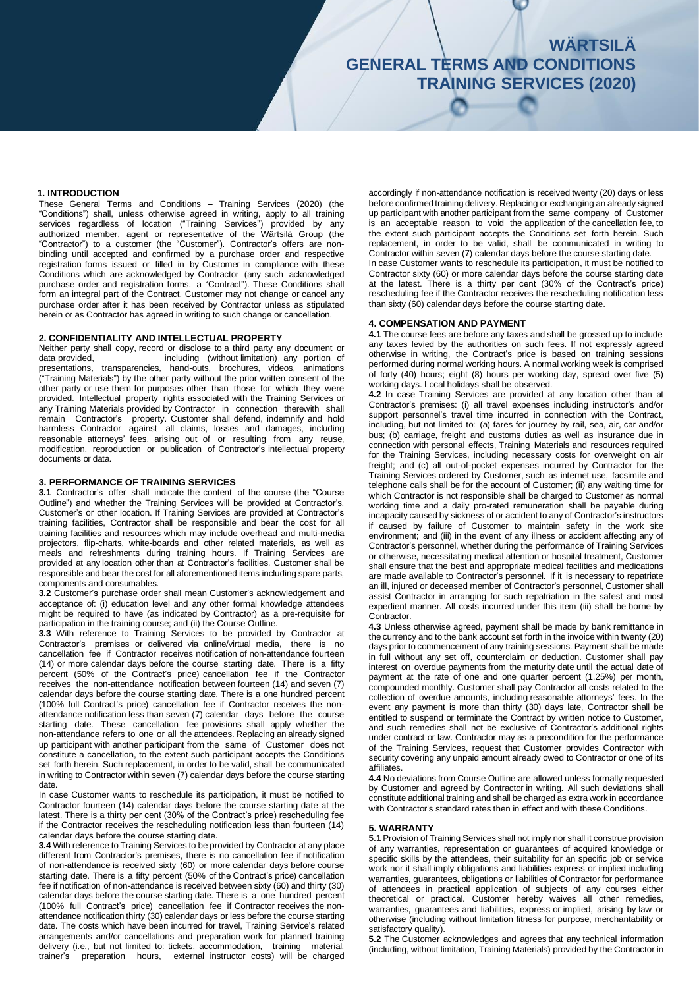### **1. INTRODUCTION**

These General Terms and Conditions – Training Services (2020) (the "Conditions") shall, unless otherwise agreed in writing, apply to all training services regardless of location ("Training Services") provided by any authorized member, agent or representative of the Wärtsilä Group (the "Contractor") to a customer (the "Customer"). Contractor's offers are nonbinding until accepted and confirmed by a purchase order and respective registration forms issued or filled in by Customer in compliance with these Conditions which are acknowledged by Contractor (any such acknowledged purchase order and registration forms, a "Contract"). These Conditions shall form an integral part of the Contract. Customer may not change or cancel any purchase order after it has been received by Contractor unless as stipulated herein or as Contractor has agreed in writing to such change or cancellation.

### **2. CONFIDENTIALITY AND INTELLECTUAL PROPERTY**

Neither party shall copy, record or disclose to a third party any document or data provided, including (without limitation) any portion of including (without limitation) any portion of presentations, transparencies, hand-outs, brochures, videos, animations ("Training Materials") by the other party without the prior written consent of the other party or use them for purposes other than those for which they were provided. Intellectual property rights associated with the Training Services or any Training Materials provided by Contractor in connection therewith shall remain Contractor's property. Customer shall defend, indemnify and hold harmless Contractor against all claims, losses and damages, including reasonable attorneys' fees, arising out of or resulting from any reuse, modification, reproduction or publication of Contractor's intellectual property documents or data.

### **3. PERFORMANCE OF TRAINING SERVICES**

**3.1** Contractor's offer shall indicate the content of the course (the "Course Outline") and whether the Training Services will be provided at Contractor's, Customer's or other location. If Training Services are provided at Contractor's training facilities, Contractor shall be responsible and bear the cost for all training facilities and resources which may include overhead and multi-media projectors, flip-charts, white-boards and other related materials, as well as meals and refreshments during training hours. If Training Services are provided at any location other than at Contractor's facilities, Customer shall be responsible and bear the cost for all aforementioned items including spare parts, components and consumables.

**3.2** Customer's purchase order shall mean Customer's acknowledgement and acceptance of: (i) education level and any other formal knowledge attendees might be required to have (as indicated by Contractor) as a pre-requisite for participation in the training course; and (ii) the Course Outline.

**3.3** With reference to Training Services to be provided by Contractor at Contractor's premises or delivered via online/virtual media, there is no cancellation fee if Contractor receives notification of non-attendance fourteen (14) or more calendar days before the course starting date. There is a fifty percent (50% of the Contract's price) cancellation fee if the Contractor receives the non-attendance notification between fourteen (14) and seven (7) calendar days before the course starting date. There is a one hundred percent (100% full Contract's price) cancellation fee if Contractor receives the nonattendance notification less than seven (7) calendar days before the course starting date. These cancellation fee provisions shall apply whether the non-attendance refers to one or all the attendees. Replacing an already signed up participant with another participant from the same of Customer does not constitute a cancellation, to the extent such participant accepts the Conditions set forth herein. Such replacement, in order to be valid, shall be communicated in writing to Contractor within seven (7) calendar days before the course starting date.

In case Customer wants to reschedule its participation, it must be notified to Contractor fourteen (14) calendar days before the course starting date at the latest. There is a thirty per cent (30% of the Contract's price) rescheduling fee if the Contractor receives the rescheduling notification less than fourteen (14) calendar days before the course starting date.

**3.4** With reference to Training Services to be provided by Contractor at any place different from Contractor's premises, there is no cancellation fee if notification of non-attendance is received sixty (60) or more calendar days before course starting date. There is a fifty percent (50% of the Contract's price) cancellation fee if notification of non-attendance is received between sixty (60) and thirty (30) calendar days before the course starting date. There is a one hundred percent (100% full Contract's price) cancellation fee if Contractor receives the nonattendance notification thirty (30) calendar days or less before the course starting date. The costs which have been incurred for travel, Training Service's related arrangements and/or cancellations and preparation work for planned training delivery (i.e., but not limited to: tickets, accommodation, training material, trainer's preparation hours, external instructor costs) will be charged

accordingly if non-attendance notification is received twenty (20) days or less before confirmed training delivery. Replacing or exchanging an already signed up participant with another participant from the same company of Customer is an acceptable reason to void the application of the cancellation fee, to the extent such participant accepts the Conditions set forth herein. Such replacement, in order to be valid, shall be communicated in writing to Contractor within seven (7) calendar days before the course starting date. In case Customer wants to reschedule its participation, it must be notified to Contractor sixty (60) or more calendar days before the course starting date at the latest. There is a thirty per cent (30% of the Contract's price) rescheduling fee if the Contractor receives the rescheduling notification less than sixty (60) calendar days before the course starting date.

### **4. COMPENSATION AND PAYMENT**

**4.1** The course fees are before any taxes and shall be grossed up to include any taxes levied by the authorities on such fees. If not expressly agreed otherwise in writing, the Contract's price is based on training sessions performed during normal working hours. A normal working week is comprised of forty (40) hours; eight (8) hours per working day, spread over five (5) working days. Local holidays shall be observed.

**4.2** In case Training Services are provided at any location other than at Contractor's premises: (i) all travel expenses including instructor's and/or support personnel's travel time incurred in connection with the Contract, including, but not limited to: (a) fares for journey by rail, sea, air, car and/or bus; (b) carriage, freight and customs duties as well as insurance due in connection with personal effects, Training Materials and resources required for the Training Services, including necessary costs for overweight on air freight; and (c) all out-of-pocket expenses incurred by Contractor for the Training Services ordered by Customer, such as internet use, facsimile and telephone calls shall be for the account of Customer; (ii) any waiting time for which Contractor is not responsible shall be charged to Customer as normal working time and a daily pro-rated remuneration shall be payable during incapacity caused by sickness of or accident to any of Contractor's instructors if caused by failure of Customer to maintain safety in the work site environment; and (iii) in the event of any illness or accident affecting any of Contractor's personnel, whether during the performance of Training Services or otherwise, necessitating medical attention or hospital treatment, Customer shall ensure that the best and appropriate medical facilities and medications are made available to Contractor's personnel. If it is necessary to repatriate an ill, injured or deceased member of Contractor's personnel, Customer shall assist Contractor in arranging for such repatriation in the safest and most expedient manner. All costs incurred under this item (iii) shall be borne by Contractor.

**4.3** Unless otherwise agreed, payment shall be made by bank remittance in the currency and to the bank account set forth in the invoice within twenty (20) days prior to commencement of any training sessions. Payment shall be made in full without any set off, counterclaim or deduction. Customer shall pay interest on overdue payments from the maturity date until the actual date of payment at the rate of one and one quarter percent (1.25%) per month, compounded monthly. Customer shall pay Contractor all costs related to the collection of overdue amounts, including reasonable attorneys' fees. In the event any payment is more than thirty (30) days late, Contractor shall be entitled to suspend or terminate the Contract by written notice to Customer, and such remedies shall not be exclusive of Contractor's additional rights under contract or law. Contractor may as a precondition for the performance of the Training Services, request that Customer provides Contractor with security covering any unpaid amount already owed to Contractor or one of its affiliates.

**4.4** No deviations from Course Outline are allowed unless formally requested by Customer and agreed by Contractor in writing. All such deviations shall constitute additional training and shall be charged as extra work in accordance with Contractor's standard rates then in effect and with these Conditions.

#### **5. WARRANTY**

**5.1** Provision of Training Services shall not imply nor shall it construe provision of any warranties, representation or guarantees of acquired knowledge or specific skills by the attendees, their suitability for an specific job or service work nor it shall imply obligations and liabilities express or implied including warranties, guarantees, obligations or liabilities of Contractor for performance of attendees in practical application of subjects of any courses either theoretical or practical. Customer hereby waives all other remedies, warranties, guarantees and liabilities, express or implied, arising by law or otherwise (including without limitation fitness for purpose, merchantability or satisfactory quality).

**5.2** The Customer acknowledges and agrees that any technical information (including, without limitation, Training Materials) provided by the Contractor in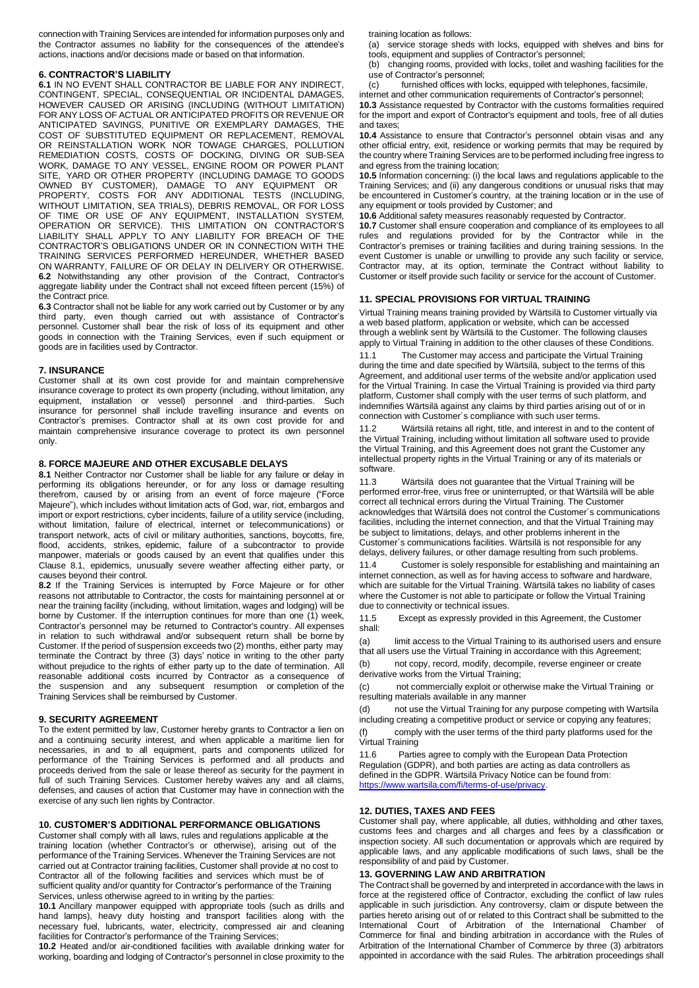connection with Training Services are intended for information purposes only and the Contractor assumes no liability for the consequences of the attendee's actions, inactions and/or decisions made or based on that information.

### **6. CONTRACTOR'S LIABILITY**

**6.1** IN NO EVENT SHALL CONTRACTOR BE LIABLE FOR ANY INDIRECT, CONTINGENT, SPECIAL, CONSEQUENTIAL OR INCIDENTAL DAMAGES, HOWEVER CAUSED OR ARISING (INCLUDING (WITHOUT LIMITATION) FOR ANY LOSS OF ACTUAL OR ANTICIPATED PROFITS OR REVENUE OR ANTICIPATED SAVINGS, PUNITIVE OR EXEMPLARY DAMAGES, THE COST OF SUBSTITUTED EQUIPMENT OR REPLACEMENT, REMOVAL OR REINSTALLATION WORK NOR TOWAGE CHARGES, POLLUTION REMEDIATION COSTS, COSTS OF DOCKING, DIVING OR SUB-SEA WORK, DAMAGE TO ANY VESSEL, ENGINE ROOM OR POWER PLANT SITE, YARD OR OTHER PROPERTY (INCLUDING DAMAGE TO GOODS OWNED BY CUSTOMER), DAMAGE TO ANY EQUIPMENT OR PROPERTY, COSTS FOR ANY ADDITIONAL TESTS (INCLUDING, WITHOUT LIMITATION, SEA TRIALS), DEBRIS REMOVAL, OR FOR LOSS OF TIME OR USE OF ANY EQUIPMENT, INSTALLATION SYSTEM, OPERATION OR SERVICE). THIS LIMITATION ON CONTRACTOR'S LIABILITY SHALL APPLY TO ANY LIABILITY FOR BREACH OF THE CONTRACTOR'S OBLIGATIONS UNDER OR IN CONNECTION WITH THE TRAINING SERVICES PERFORMED HEREUNDER, WHETHER BASED ON WARRANTY, FAILURE OF OR DELAY IN DELIVERY OR OTHERWISE. **6.2** Notwithstanding any other provision of the Contract, Contractor's aggregate liability under the Contract shall not exceed fifteen percent (15%) of the Contract price.

**6.3** Contractor shall not be liable for any work carried out by Customer or by any third party, even though carried out with assistance of Contractor's personnel. Customer shall bear the risk of loss of its equipment and other goods in connection with the Training Services, even if such equipment or goods are in facilities used by Contractor.

### **7. INSURANCE**

Customer shall at its own cost provide for and maintain comprehensive insurance coverage to protect its own property (including, without limitation, any equipment, installation or vessel) personnel and third-parties. Such insurance for personnel shall include travelling insurance and events on Contractor's premises. Contractor shall at its own cost provide for and maintain comprehensive insurance coverage to protect its own personnel only.

## **8. FORCE MAJEURE AND OTHER EXCUSABLE DELAYS**

**8.1** Neither Contractor nor Customer shall be liable for any failure or delay in performing its obligations hereunder, or for any loss or damage resulting therefrom, caused by or arising from an event of force majeure ("Force Majeure"), which includes without limitation acts of God, war, riot, embargos and import or export restrictions, cyber incidents, failure of a utility service (including, without limitation, failure of electrical, internet or telecommunications) or transport network, acts of civil or military authorities, sanctions, boycotts, fire, flood, accidents, strikes, epidemic, failure of a subcontractor to provide manpower, materials or goods caused by an event that qualifies under this Clause 8.1, epidemics, unusually severe weather affecting either party, or causes beyond their control.

**8.2** If the Training Services is interrupted by Force Majeure or for other reasons not attributable to Contractor, the costs for maintaining personnel at or near the training facility (including, without limitation, wages and lodging) will be borne by Customer. If the interruption continues for more than one (1) week, Contractor's personnel may be returned to Contractor's country. All expenses in relation to such withdrawal and/or subsequent return shall be borne by Customer. If the period of suspension exceeds two (2) months, either party may terminate the Contract by three (3) days' notice in writing to the other party without prejudice to the rights of either party up to the date of termination. All reasonable additional costs incurred by Contractor as a consequence of the suspension and any subsequent resumption or completion of the Training Services shall be reimbursed by Customer.

### **9. SECURITY AGREEMENT**

To the extent permitted by law, Customer hereby grants to Contractor a lien on and a continuing security interest, and when applicable a maritime lien for necessaries, in and to all equipment, parts and components utilized for performance of the Training Services is performed and all products and proceeds derived from the sale or lease thereof as security for the payment in full of such Training Services. Customer hereby waives any and all claims, defenses, and causes of action that Customer may have in connection with the exercise of any such lien rights by Contractor.

### **10. CUSTOMER'S ADDITIONAL PERFORMANCE OBLIGATIONS**

Customer shall comply with all laws, rules and regulations applicable at the training location (whether Contractor's or otherwise), arising out of the performance of the Training Services. Whenever the Training Services are not carried out at Contractor training facilities, Customer shall provide at no cost to Contractor all of the following facilities and services which must be of sufficient quality and/or quantity for Contractor's performance of the Training Services, unless otherwise agreed to in writing by the parties:

**10.1** Ancillary manpower equipped with appropriate tools (such as drills and hand lamps), heavy duty hoisting and transport facilities along with the necessary fuel, lubricants, water, electricity, compressed air and cleaning facilities for Contractor's performance of the Training Services;

**10.2** Heated and/or air-conditioned facilities with available drinking water for working, boarding and lodging of Contractor's personnel in close proximity to the training location as follows:

(a) service storage sheds with locks, equipped with shelves and bins for tools, equipment and supplies of Contractor's personnel;

(b) changing rooms, provided with locks, toilet and washing facilities for the use of Contractor's personnel;<br>(c) furnished offices with

furnished offices with locks, equipped with telephones, facsimile,

internet and other communication requirements of Contractor's personnel;

**10.3** Assistance requested by Contractor with the customs formalities required for the import and export of Contractor's equipment and tools, free of all duties and taxes;

**10.4** Assistance to ensure that Contractor's personnel obtain visas and any other official entry, exit, residence or working permits that may be required by the country where Training Services are to be performed including free ingress to and egress from the training location;

**10.5** Information concerning: (i) the local laws and regulations applicable to the Training Services; and (ii) any dangerous conditions or unusual risks that may be encountered in Customer's country, at the training location or in the use of any equipment or tools provided by Customer; and

**10.6** Additional safety measures reasonably requested by Contractor.

**10.7** Customer shall ensure cooperation and compliance of its employees to all rules and regulations provided for by the Contractor while in the Contractor's premises or training facilities and during training sessions. In the event Customer is unable or unwilling to provide any such facility or service, Contractor may, at its option, terminate the Contract without liability to Customer or itself provide such facility or service for the account of Customer.

### **11. SPECIAL PROVISIONS FOR VIRTUAL TRAINING**

Virtual Training means training provided by Wärtsilä to Customer virtually via a web based platform, application or website, which can be accessed through a weblink sent by Wärtsilä to the Customer. The following clauses apply to Virtual Training in addition to the other clauses of these Conditions.

11.1 The Customer may access and participate the Virtual Training during the time and date specified by Wärtsilä, subject to the terms of this Agreement, and additional user terms of the website and/or application used for the Virtual Training. In case the Virtual Training is provided via third party platform, Customer shall comply with the user terms of such platform, and indemnifies Wärtsilä against any claims by third parties arising out of or in connection with Customer´s compliance with such user terms.

11.2 Wärtsilä retains all right, title, and interest in and to the content of the Virtual Training, including without limitation all software used to provide the Virtual Training, and this Agreement does not grant the Customer any intellectual property rights in the Virtual Training or any of its materials or software.

11.3 Wärtsilä does not guarantee that the Virtual Training will be performed error-free, virus free or uninterrupted, or that Wärtsilä will be able correct all technical errors during the Virtual Training. The Customer acknowledges that Wärtsilä does not control the Customer´s communications facilities, including the internet connection, and that the Virtual Training may be subject to limitations, delays, and other problems inherent in the Customer´s communications facilities. Wärtsilä is not responsible for any delays, delivery failures, or other damage resulting from such problems.

11.4 Customer is solely responsible for establishing and maintaining an internet connection, as well as for having access to software and hardware, which are suitable for the Virtual Training. Wärtsilä takes no liability of cases where the Customer is not able to participate or follow the Virtual Training due to connectivity or technical issues.

11.5 Except as expressly provided in this Agreement, the Customer shall:

(a) limit access to the Virtual Training to its authorised users and ensure that all users use the Virtual Training in accordance with this Agreement;

(b) not copy, record, modify, decompile, reverse engineer or create derivative works from the Virtual Training;

(c) not commercially exploit or otherwise make the Virtual Training or resulting materials available in any manner

(d) not use the Virtual Training for any purpose competing with Wartsila including creating a competitive product or service or copying any features;

comply with the user terms of the third party platforms used for the Virtual Training

11.6 Parties agree to comply with the European Data Protection Regulation (GDPR), and both parties are acting as data controllers as defined in the GDPR. Wärtsilä Privacy Notice can be found from: [https://www.wartsila.com/fi/terms-of-use/privacy.](https://www.wartsila.com/fi/terms-of-use/privacy)

# **12. DUTIES, TAXES AND FEES**

Customer shall pay, where applicable, all duties, withholding and other taxes, customs fees and charges and all charges and fees by a classification or inspection society. All such documentation or approvals which are required by applicable laws, and any applicable modifications of such laws, shall be the responsibility of and paid by Customer.

# **13. GOVERNING LAW AND ARBITRATION**

The Contract shall be governed by and interpreted in accordance with the laws in force at the registered office of Contractor, excluding the conflict of law rules applicable in such jurisdiction. Any controversy, claim or dispute between the parties hereto arising out of or related to this Contract shall be submitted to the International Court of Arbitration of the International Chamber of Commerce for final and binding arbitration in accordance with the Rules of Arbitration of the International Chamber of Commerce by three (3) arbitrators appointed in accordance with the said Rules. The arbitration proceedings shall